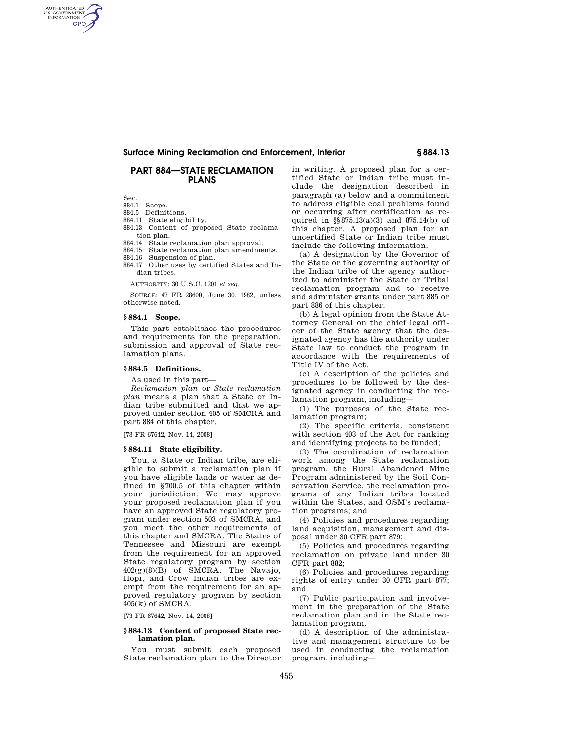# AUTHENTICATED<br>U.S. GOVERNMENT<br>INFORMATION **GPO**

# **Surface Mining Reclamation and Enforcement, Interior § 884.13**

# **PART 884—STATE RECLAMATION PLANS**

Sec.

884.1 Scope.

- 884.5 Definitions.
- 884.11 State eligibility.
- 884.13 Content of proposed State reclamation plan.
- 884.14 State reclamation plan approval.
- 884.15 State reclamation plan amendments.
- 884.16 Suspension of plan.
- 884.17 Other uses by certified States and Indian tribes.

AUTHORITY: 30 U.S.C. 1201 *et seq.* 

SOURCE: 47 FR 28600, June 30, 1982, unless otherwise noted.

### **§ 884.1 Scope.**

This part establishes the procedures and requirements for the preparation, submission and approval of State reclamation plans.

# **§ 884.5 Definitions.**

As used in this part—

*Reclamation plan* or *State reclamation plan* means a plan that a State or Indian tribe submitted and that we approved under section 405 of SMCRA and part 884 of this chapter.

[73 FR 67642, Nov. 14, 2008]

#### **§ 884.11 State eligibility.**

You, a State or Indian tribe, are eligible to submit a reclamation plan if you have eligible lands or water as defined in §700.5 of this chapter within your jurisdiction. We may approve your proposed reclamation plan if you have an approved State regulatory program under section 503 of SMCRA, and you meet the other requirements of this chapter and SMCRA. The States of Tennessee and Missouri are exempt from the requirement for an approved State regulatory program by section 402(g)(8)(B) of SMCRA. The Navajo, Hopi, and Crow Indian tribes are exempt from the requirement for an approved regulatory program by section 405(k) of SMCRA.

[73 FR 67642, Nov. 14, 2008]

## **§ 884.13 Content of proposed State reclamation plan.**

You must submit each proposed State reclamation plan to the Director in writing. A proposed plan for a certified State or Indian tribe must include the designation described in paragraph (a) below and a commitment to address eligible coal problems found or occurring after certification as required in §§875.13(a)(3) and 875.14(b) of this chapter. A proposed plan for an uncertified State or Indian tribe must include the following information.

(a) A designation by the Governor of the State or the governing authority of the Indian tribe of the agency authorized to administer the State or Tribal reclamation program and to receive and administer grants under part 885 or part 886 of this chapter.

(b) A legal opinion from the State Attorney General on the chief legal officer of the State agency that the designated agency has the authority under State law to conduct the program in accordance with the requirements of Title IV of the Act.

(c) A description of the policies and procedures to be followed by the designated agency in conducting the reclamation program, including—

(1) The purposes of the State reclamation program;

(2) The specific criteria, consistent with section 403 of the Act for ranking and identifying projects to be funded;

(3) The coordination of reclamation work among the State reclamation program, the Rural Abandoned Mine Program administered by the Soil Conservation Service, the reclamation programs of any Indian tribes located within the States, and OSM's reclamation programs; and

(4) Policies and procedures regarding land acquisition, management and disposal under 30 CFR part 879;

(5) Policies and procedures regarding reclamation on private land under 30 CFR part 882;

(6) Policies and procedures regarding rights of entry under 30 CFR part 877; and

(7) Public participation and involvement in the preparation of the State reclamation plan and in the State reclamation program.

(d) A description of the administrative and management structure to be used in conducting the reclamation program, including—